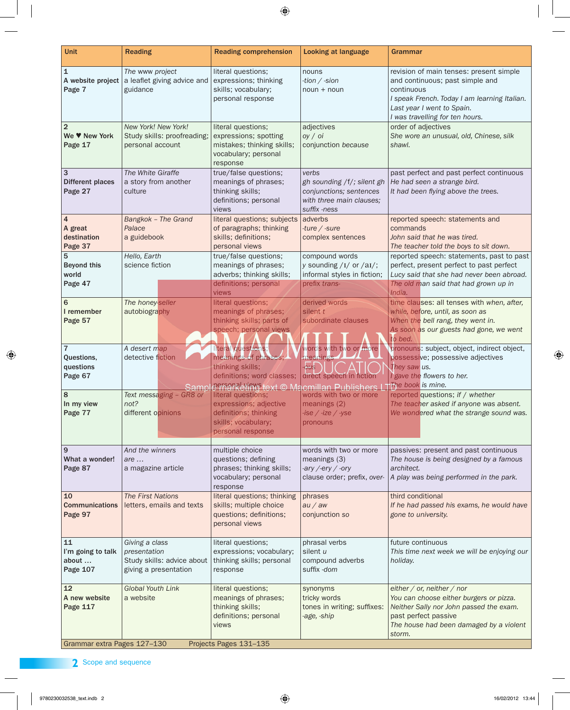| <b>Unit</b>                                          | <b>Reading</b>                                                                        | <b>Reading comprehension</b>                                                                                                            | <b>Looking at language</b>                                                                                 | Grammar                                                                                                                                                                                                   |
|------------------------------------------------------|---------------------------------------------------------------------------------------|-----------------------------------------------------------------------------------------------------------------------------------------|------------------------------------------------------------------------------------------------------------|-----------------------------------------------------------------------------------------------------------------------------------------------------------------------------------------------------------|
| $\mathbf{1}$<br>A website project<br>Page 7          | The www project<br>a leaflet giving advice and<br>guidance                            | literal questions;<br>expressions; thinking<br>skills; vocabulary;<br>personal response                                                 | nouns<br>-tion $/$ -sion<br>$noun + noun$                                                                  | revision of main tenses: present simple<br>and continuous; past simple and<br>continuous<br>I speak French. Today I am learning Italian.<br>Last year I went to Spain.<br>I was travelling for ten hours. |
| $\overline{2}$<br>We V New York<br>Page 17           | New York! New York!<br>Study skills: proofreading;<br>personal account                | literal questions;<br>expressions; spotting<br>mistakes; thinking skills;<br>vocabulary; personal<br>response                           | adjectives<br>oy /oi<br>conjunction because                                                                | order of adjectives<br>She wore an unusual, old, Chinese, silk<br>shawl.                                                                                                                                  |
| $\overline{3}$<br><b>Different places</b><br>Page 27 | The White Giraffe<br>a story from another<br>culture                                  | true/false questions;<br>meanings of phrases;<br>thinking skills;<br>definitions; personal<br>views                                     | verbs<br>gh sounding /f/; silent gh<br>conjunctions; sentences<br>with three main clauses;<br>suffix -ness | past perfect and past perfect continuous<br>He had seen a strange bird.<br>It had been flying above the trees.                                                                                            |
| $\overline{4}$<br>A great<br>destination<br>Page 37  | Bangkok - The Grand<br>Palace<br>a guidebook                                          | literal questions; subjects $\vert$ adverbs<br>of paragraphs; thinking<br>skills; definitions;<br>personal views                        | -ture $/$ -sure<br>complex sentences                                                                       | reported speech: statements and<br>commands<br>John said that he was tired.<br>The teacher told the boys to sit down.                                                                                     |
| 5<br><b>Beyond this</b><br>world<br>Page 47          | Hello, Earth<br>science fiction                                                       | true/false questions;<br>meanings of phrases;<br>adverbs; thinking skills;<br>definitions; personal<br>views                            | compound words<br>y sounding $/I/$ or $/RI/$ ;<br>informal styles in fiction;<br>prefix trans-             | reported speech: statements, past to past<br>perfect, present perfect to past perfect<br>Lucy said that she had never been abroad.<br>The old man said that had grown up in<br>India.                     |
| 6<br>I remember<br>Page 57                           | The honey-seller<br>autobiography                                                     | literal questions;<br>meanings of phrases;<br>thinking skills; parts of<br>speech; personal views                                       | derived words<br>silent t<br>subordinate clauses                                                           | time clauses: all tenses with when, after,<br>while, before, until, as soon as<br>When the bell rang, they went in.<br>As soon as our guests had gone, we went<br>to bed.                                 |
| $\overline{7}$<br>Questions,<br>questions<br>Page 67 | A desert map<br>detective fiction<br>Samp                                             | iteral questions;<br>meanings of phrases;<br>thinking skills;<br>definitions; word classes;<br>e enankering text © Macmillan Publishers | words with two or more<br>meanings<br>direct speech in fiction                                             | pronouns: subject, object, indirect object,<br>possessive; possessive adjectives<br>They saw us.<br>gave the flowers to her.<br>The book is mine.                                                         |
| 8<br>In my view<br>Page 77                           | Text messaging - GR8 or<br>not?<br>different opinions                                 | literal questions;<br>expressions; adjective<br>definitions; thinking<br>skills; vocabulary;<br>personal response                       | words with two or more<br>meanings $(2)$<br>$-ise / -ize / -yse$<br>pronouns                               | reported questions; if / whether<br>The teacher asked if anyone was absent.<br>We wondered what the strange sound was.                                                                                    |
| 9<br>What a wonder!<br>Page 87                       | And the winners<br>$are \dots$<br>a magazine article                                  | multiple choice<br>questions; defining<br>phrases; thinking skills;<br>vocabulary; personal<br>response                                 | words with two or more<br>meanings (3)<br>-ary /-ery / -ory<br>clause order; prefix, over-                 | passives: present and past continuous<br>The house is being designed by a famous<br>architect.<br>A play was being performed in the park.                                                                 |
| 10<br><b>Communications</b><br>Page 97               | <b>The First Nations</b><br>letters, emails and texts                                 | literal questions; thinking<br>skills; multiple choice<br>questions; definitions;<br>personal views                                     | phrases<br>au / aw<br>conjunction so                                                                       | third conditional<br>If he had passed his exams, he would have<br>gone to university.                                                                                                                     |
| 11<br>I'm going to talk<br>about<br><b>Page 107</b>  | Giving a class<br>presentation<br>Study skills: advice about<br>giving a presentation | literal questions;<br>expressions; vocabulary;<br>thinking skills; personal<br>response                                                 | phrasal verbs<br>silent u<br>compound adverbs<br>suffix -dom                                               | future continuous<br>This time next week we will be enjoying our<br>holiday.                                                                                                                              |
| 12<br>A new website<br>Page 117                      | <b>Global Youth Link</b><br>a website                                                 | literal questions;<br>meanings of phrases;<br>thinking skills;<br>definitions; personal<br>views                                        | synonyms<br>tricky words<br>tones in writing; suffixes:<br>-age, -ship                                     | either / or, neither / nor<br>You can choose either burgers or pizza.<br>Neither Sally nor John passed the exam.<br>past perfect passive<br>The house had been damaged by a violent<br>storm.             |
| Grammar extra Pages 127-130                          |                                                                                       | Projects Pages 131-135                                                                                                                  |                                                                                                            |                                                                                                                                                                                                           |